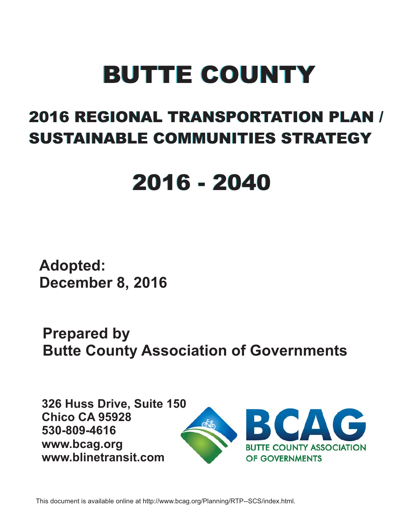# BUTTE COUNTY BUTTE COUNTY

## 2016 REGIONAL TRANSPORTATION PLAN / 2016 REGIONAL TRANSPORTATION PLAN / SUSTAINABLE COMMUNITIES STRATEGY SUSTAINABLE COMMUNITIES STRATEGY

## 2016 - 2040 2016 - 2040

**Adopted: December 8, 2016**

**Prepared by Butte County Association of Governments**

**326 Huss Drive, Suite 150 Chico CA 95928 530-809-4616 www.bcag.org www.blinetransit.com**



This document is available online at http://www.bcag.org/Planning/RTP--SCS/index.html.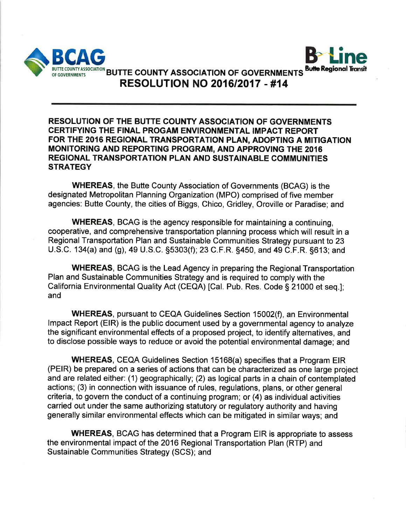



BUTTE COUNTY ASSOCIATION BUTTE COUNTY ASSOCIATION OF GOVERNMENTS **RESOLUTION NO 2016/2017 - #14** 

#### **RESOLUTION OF THE BUTTE COUNTY ASSOCIATION OF GOVERNMENTS CERTIFYING THE FINAL PROGAM ENVIRONMENTAL IMPACT REPORT** FOR THE 2016 REGIONAL TRANSPORTATION PLAN, ADOPTING A MITIGATION MONITORING AND REPORTING PROGRAM, AND APPROVING THE 2016 **REGIONAL TRANSPORTATION PLAN AND SUSTAINABLE COMMUNITIES STRATEGY**

**WHEREAS, the Butte County Association of Governments (BCAG) is the** designated Metropolitan Planning Organization (MPO) comprised of five member agencies: Butte County, the cities of Biggs, Chico, Gridley, Oroville or Paradise; and

**WHEREAS, BCAG** is the agency responsible for maintaining a continuing, cooperative, and comprehensive transportation planning process which will result in a Regional Transportation Plan and Sustainable Communities Strategy pursuant to 23 U.S.C. 134(a) and (g), 49 U.S.C. §5303(f); 23 C.F.R. §450, and 49 C.F.R. §613; and

**WHEREAS, BCAG is the Lead Agency in preparing the Regional Transportation** Plan and Sustainable Communities Strategy and is required to comply with the California Environmental Quality Act (CEQA) [Cal. Pub. Res. Code § 21000 et seq.]: and

**WHEREAS, pursuant to CEQA Guidelines Section 15002(f), an Environmental** Impact Report (EIR) is the public document used by a governmental agency to analyze the significant environmental effects of a proposed project, to identify alternatives, and to disclose possible ways to reduce or avoid the potential environmental damage; and

**WHEREAS, CEQA Guidelines Section 15168(a) specifies that a Program EIR** (PEIR) be prepared on a series of actions that can be characterized as one large project and are related either: (1) geographically; (2) as logical parts in a chain of contemplated actions; (3) in connection with issuance of rules, regulations, plans, or other general criteria, to govern the conduct of a continuing program; or (4) as individual activities carried out under the same authorizing statutory or regulatory authority and having generally similar environmental effects which can be mitigated in similar ways; and

**WHEREAS, BCAG has determined that a Program EIR is appropriate to assess** the environmental impact of the 2016 Regional Transportation Plan (RTP) and Sustainable Communities Strategy (SCS); and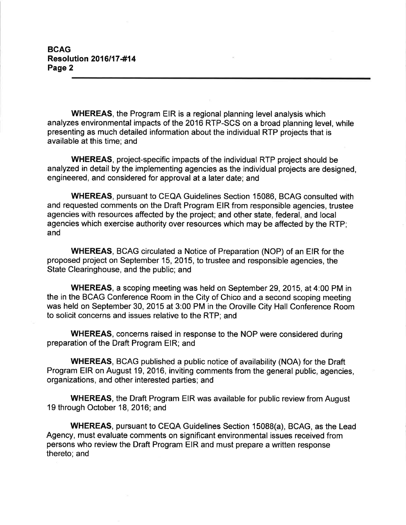**BCAG Resolution 2016/17-#14** Page 2

**WHEREAS, the Program EIR is a regional planning level analysis which** analyzes environmental impacts of the 2016 RTP-SCS on a broad planning level, while presenting as much detailed information about the individual RTP projects that is available at this time; and

**WHEREAS, project-specific impacts of the individual RTP project should be** analyzed in detail by the implementing agencies as the individual projects are designed, engineered, and considered for approval at a later date; and

**WHEREAS, pursuant to CEQA Guidelines Section 15086, BCAG consulted with** and requested comments on the Draft Program EIR from responsible agencies, trustee agencies with resources affected by the project; and other state, federal, and local agencies which exercise authority over resources which may be affected by the RTP; and

**WHEREAS, BCAG circulated a Notice of Preparation (NOP) of an EIR for the** proposed project on September 15, 2015, to trustee and responsible agencies, the State Clearinghouse, and the public; and

**WHEREAS, a scoping meeting was held on September 29, 2015, at 4:00 PM in** the in the BCAG Conference Room in the City of Chico and a second scoping meeting was held on September 30, 2015 at 3:00 PM in the Oroville City Hall Conference Room to solicit concerns and issues relative to the RTP; and

**WHEREAS, concerns raised in response to the NOP were considered during** preparation of the Draft Program EIR; and

**WHEREAS, BCAG published a public notice of availability (NOA) for the Draft** Program EIR on August 19, 2016, inviting comments from the general public, agencies, organizations, and other interested parties; and

**WHEREAS, the Draft Program EIR was available for public review from August** 19 through October 18, 2016; and

**WHEREAS, pursuant to CEQA Guidelines Section 15088(a), BCAG, as the Lead** Agency, must evaluate comments on significant environmental issues received from persons who review the Draft Program EIR and must prepare a written response thereto; and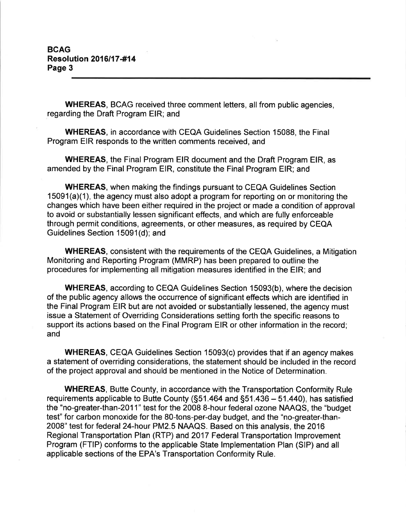#### **BCAG Resolution 2016/17-#14** Page 3

**WHEREAS, BCAG received three comment letters, all from public agencies,** regarding the Draft Program EIR; and

**WHEREAS, in accordance with CEQA Guidelines Section 15088, the Final** Program EIR responds to the written comments received, and

**WHEREAS, the Final Program EIR document and the Draft Program EIR, as** amended by the Final Program EIR, constitute the Final Program EIR; and

**WHEREAS, when making the findings pursuant to CEQA Guidelines Section** 15091(a)(1), the agency must also adopt a program for reporting on or monitoring the changes which have been either required in the project or made a condition of approval to avoid or substantially lessen significant effects, and which are fully enforceable through permit conditions, agreements, or other measures, as required by CEQA Guidelines Section 15091(d); and

**WHEREAS, consistent with the requirements of the CEQA Guidelines, a Mitigation** Monitoring and Reporting Program (MMRP) has been prepared to outline the procedures for implementing all mitigation measures identified in the EIR; and

**WHEREAS, according to CEQA Guidelines Section 15093(b), where the decision** of the public agency allows the occurrence of significant effects which are identified in the Final Program EIR but are not avoided or substantially lessened, the agency must issue a Statement of Overriding Considerations setting forth the specific reasons to support its actions based on the Final Program EIR or other information in the record; and

**WHEREAS, CEQA Guidelines Section 15093(c) provides that if an agency makes** a statement of overriding considerations, the statement should be included in the record of the project approval and should be mentioned in the Notice of Determination.

**WHEREAS, Butte County, in accordance with the Transportation Conformity Rule** requirements applicable to Butte County (§51.464 and §51.436 – 51.440), has satisfied the "no-greater-than-2011" test for the 2008 8-hour federal ozone NAAQS, the "budget" test" for carbon monoxide for the 80-tons-per-day budget, and the "no-greater-than-2008" test for federal 24-hour PM2.5 NAAQS. Based on this analysis, the 2016 Regional Transportation Plan (RTP) and 2017 Federal Transportation Improvement Program (FTIP) conforms to the applicable State Implementation Plan (SIP) and all applicable sections of the EPA's Transportation Conformity Rule.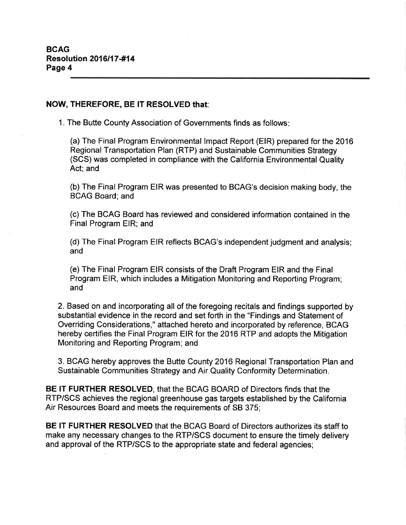#### NOW, THEREFORE, BE IT RESOLVED that:

1. The Butte County Association of Governments finds as follows:

(a) The Final Program Environmental Impact Report (EIR) prepared for the 2016 Regional Transportation Plan (RTP) and Sustainable Communities Strategy (SCS) was completed in compliance with the California Environmental Quality Act: and

(b) The Final Program EIR was presented to BCAG's decision making body, the **BCAG Board**; and

(c) The BCAG Board has reviewed and considered information contained in the Final Program EIR; and

(d) The Final Program EIR reflects BCAG's independent judgment and analysis; and

(e) The Final Program EIR consists of the Draft Program EIR and the Final Program EIR, which includes a Mitigation Monitoring and Reporting Program; and

2. Based on and incorporating all of the foregoing recitals and findings supported by substantial evidence in the record and set forth in the "Findings and Statement of Overriding Considerations," attached hereto and incorporated by reference, BCAG hereby certifies the Final Program EIR for the 2016 RTP and adopts the Mitigation Monitoring and Reporting Program; and

3. BCAG hereby approves the Butte County 2016 Regional Transportation Plan and Sustainable Communities Strategy and Air Quality Conformity Determination.

**BE IT FURTHER RESOLVED, that the BCAG BOARD of Directors finds that the** RTP/SCS achieves the regional greenhouse gas targets established by the California Air Resources Board and meets the requirements of SB 375;

**BE IT FURTHER RESOLVED** that the BCAG Board of Directors authorizes its staff to make any necessary changes to the RTP/SCS document to ensure the timely delivery and approval of the RTP/SCS to the appropriate state and federal agencies;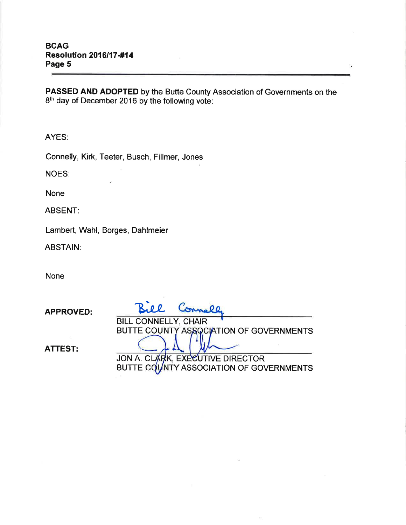PASSED AND ADOPTED by the Butte County Association of Governments on the 8th day of December 2016 by the following vote:

AYES:

Connelly, Kirk, Teeter, Busch, Fillmer, Jones

**NOES:** 

**None** 

**ABSENT:** 

Lambert, Wahl, Borges, Dahlmeier

**ABSTAIN:** 

**None** 

**APPROVED: BILL CONNELLY, CHAIR** BUTTE COUNTY ASSOCIATION OF GOVERNMENTS **ATTEST:** JON A. CLARK, EXECUTIVE DIRECTOR BUTTE COUNTY ASSOCIATION OF GOVERNMENTS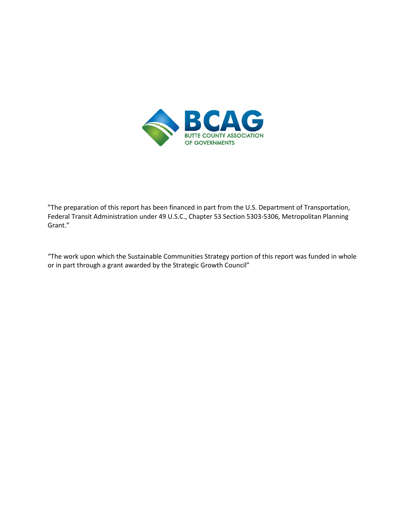

"The preparation of this report has been financed in part from the U.S. Department of Transportation, Federal Transit Administration under 49 U.S.C., Chapter 53 Section 5303-5306, Metropolitan Planning Grant."

"The work upon which the Sustainable Communities Strategy portion of this report was funded in whole or in part through a grant awarded by the Strategic Growth Council"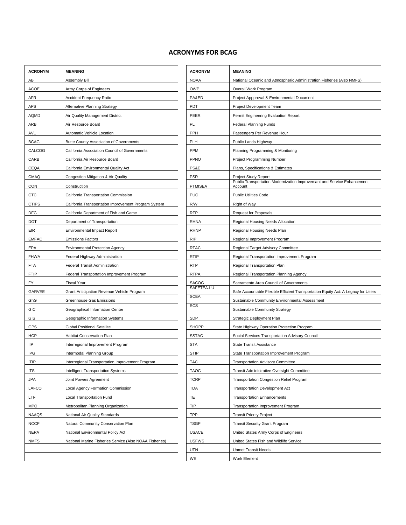#### **ACRONYMS FOR BCAG**

| <b>ACRONYM</b> | <b>MEANING</b>                                          | <b>ACRONYM</b> | <b>MEANING</b>                                           |
|----------------|---------------------------------------------------------|----------------|----------------------------------------------------------|
| AB             | Assembly Bill                                           | <b>NOAA</b>    | National Oceanic and Atmospheric Administratio           |
| ACOE           | Army Corps of Engineers                                 | <b>OWP</b>     | Overall Work Program                                     |
| AFR            | <b>Accident Frequency Ratio</b>                         | PA&ED          | Project Appproval & Environmental Document               |
| <b>APS</b>     | Alternative Planning Strategy                           | <b>PDT</b>     | Project Development Team                                 |
| <b>AQMD</b>    | Air Quality Management District                         | PEER           | Permit Engineering Evaluation Report                     |
| ARB            | Air Resource Board                                      | PL             | <b>Federal Planning Funds</b>                            |
| <b>AVL</b>     | Automatic Vehicle Location                              | PPH            | Passengers Per Revenue Hour                              |
| <b>BCAG</b>    | <b>Butte County Association of Governments</b>          | <b>PLH</b>     | Public Lands Highway                                     |
| CALCOG         | California Association Council of Governments           | PPM            | Planning Programming & Monitoring                        |
| CARB           | California Air Resource Board                           | PPNO           | Project Programming Number                               |
| CEQA           | California Environmental Quality Act                    | PS&E           | Plans, Specifications & Estimates                        |
| CMAQ           | Congestion Mitigation & Air Quality                     | <b>PSR</b>     | Project Study Report                                     |
| <b>CON</b>     | Construction                                            | <b>PTMISEA</b> | Public Transportation Modernization Improvema<br>Account |
| <b>CTC</b>     | California Transportation Commission                    | <b>PUC</b>     | <b>Public Utilities Code</b>                             |
| <b>CTIPS</b>   | California Transportation Improvement Program System    | R/W            | Right of Way                                             |
| DFG            | California Department of Fish and Game                  | <b>RFP</b>     | <b>Request for Proposals</b>                             |
| <b>DOT</b>     | Department of Transportation                            | <b>RHNA</b>    | Regional Housing Needs Allocation                        |
| EIR            | <b>Environmental Impact Report</b>                      | <b>RHNP</b>    | Regional Housing Needs Plan                              |
| <b>EMFAC</b>   | <b>Emissions Factors</b>                                | <b>RIP</b>     | Regional Improvement Program                             |
| EPA            | <b>Environmental Protection Agency</b>                  | <b>RTAC</b>    | Regional Target Advisory Committee                       |
| <b>FHWA</b>    | Federal Highway Administration                          | <b>RTIP</b>    | Regional Transportation Improvement Program              |
| <b>FTA</b>     | Federal Transit Administration                          | <b>RTP</b>     | Regional Transportation Plan                             |
| <b>FTIP</b>    | Federal Transportation Improvement Program              | <b>RTPA</b>    | Regional Transportation Planning Agency                  |
| FY             | <b>Fiscal Year</b>                                      | <b>SACOG</b>   | Sacramento Area Council of Governments                   |
| GARVEE         | Grant Anticipation Revenue Vehicle Program              | SAFETEA-LU     | Safe Accountable Flexible Efficient Transportation       |
| GhG            | Greenhouse Gas Emissions                                | <b>SCEA</b>    | Sustainable Community Environmental Assessn              |
| GIC            | Geographical Information Center                         | SCS            | Sustainable Community Strategy                           |
| GIS            | Geographic Information Systems                          | <b>SDP</b>     | Strategic Deployment Plan                                |
| GPS            | <b>Global Positional Satellite</b>                      | <b>SHOPP</b>   | State Highway Operation Protection Program               |
| <b>HCP</b>     | <b>Habitat Conservation Plan</b>                        | <b>SSTAC</b>   | Social Services Transportation Advisory Council          |
| <b>IIP</b>     | Interregional Improvement Program                       | <b>STA</b>     | <b>State Transit Assistance</b>                          |
| <b>IPG</b>     | Intermodal Planning Group                               | <b>STIP</b>    | State Transportation Improvement Program                 |
| <b>ITIP</b>    | Interregional Transportation Improvement Program        | <b>TAC</b>     | <b>Transportation Advisory Committee</b>                 |
| <b>ITS</b>     | Intelligent Transportation Systems                      | <b>TAOC</b>    | Transit Administrative Oversight Committee               |
| JPA            | Joint Powers Agreement                                  | <b>TCRP</b>    | <b>Transportation Congestion Relief Program</b>          |
| LAFCO          | Local Agency Formation Commission                       | <b>TDA</b>     | <b>Transportation Development Act</b>                    |
| LTF            | Local Transportation Fund                               | TE             | <b>Transportation Enhancements</b>                       |
| <b>MPO</b>     | Metropolitan Planning Organization                      | TIP            | <b>Transportation Improvement Program</b>                |
| <b>NAAQS</b>   | National Air Quality Standards                          | TPP            | <b>Transit Priority Project</b>                          |
| <b>NCCP</b>    | Natural Community Conservation Plan                     | <b>TSGP</b>    | <b>Transit Security Grant Program</b>                    |
| <b>NEPA</b>    | National Environmental Policy Act                       | <b>USACE</b>   | United States Army Corps of Engineers                    |
| <b>NMFS</b>    | National Marine Fisheries Service (Also NOAA Fisheries) | <b>USFWS</b>   | United States Fish and Wildlife Service                  |
|                |                                                         | UTN            | <b>Unmet Transit Needs</b>                               |
|                |                                                         | WE             | Work Element                                             |

| <b>ACRONYM</b> | <b>MEANING</b>                                          | <b>ACRONYM</b> | <b>MEANING</b>                                                                     |
|----------------|---------------------------------------------------------|----------------|------------------------------------------------------------------------------------|
| AВ             | Assembly Bill                                           | <b>NOAA</b>    | National Oceanic and Atmospheric Administration Fisheries (Also NMFS)              |
| ACOE           | Army Corps of Engineers                                 | <b>OWP</b>     | Overall Work Program                                                               |
| <u>AFR</u>     | <b>Accident Frequency Ratio</b>                         | PA&ED          | Project Appproval & Environmental Document                                         |
| <u>APS</u>     | Alternative Planning Strategy                           | PDT            | Project Development Team                                                           |
| AQMD           | Air Quality Management District                         | PEER           | Permit Engineering Evaluation Report                                               |
| ARB            | Air Resource Board                                      | PL             | <b>Federal Planning Funds</b>                                                      |
| AVL            | Automatic Vehicle Location                              | PPH            | Passengers Per Revenue Hour                                                        |
| BCAG           | <b>Butte County Association of Governments</b>          | PLH            | Public Lands Highway                                                               |
| CALCOG         | California Association Council of Governments           | <b>PPM</b>     | Planning Programming & Monitoring                                                  |
| <b>CARB</b>    | California Air Resource Board                           | <b>PPNO</b>    | Project Programming Number                                                         |
| CEQA           | California Environmental Quality Act                    | PS&E           | Plans, Specifications & Estimates                                                  |
| CMAQ           | Congestion Mitigation & Air Quality                     | <b>PSR</b>     | Project Study Report                                                               |
| CON            | Construction                                            | <b>PTMISEA</b> | Public Transportation Modernization Improvemant and Service Enhancement<br>Account |
| <u>CTC</u>     | California Transportation Commission                    | <b>PUC</b>     | <b>Public Utilities Code</b>                                                       |
| CTIPS          | California Transportation Improvement Program System    | R/W            | Right of Way                                                                       |
| DFG            | California Department of Fish and Game                  | <b>RFP</b>     | <b>Request for Proposals</b>                                                       |
| DOT            | Department of Transportation                            | <b>RHNA</b>    | Regional Housing Needs Allocation                                                  |
| EIR            | <b>Environmental Impact Report</b>                      | <b>RHNP</b>    | Regional Housing Needs Plan                                                        |
| <u>EMFAC</u>   | <b>Emissions Factors</b>                                | <b>RIP</b>     | Regional Improvement Program                                                       |
| EPA            | <b>Environmental Protection Agency</b>                  | <b>RTAC</b>    | Regional Target Advisory Committee                                                 |
| FHWA           | Federal Highway Administration                          | <b>RTIP</b>    | Regional Transportation Improvement Program                                        |
| FTA            | Federal Transit Administration                          | <b>RTP</b>     | Regional Transportation Plan                                                       |
| FTIP           | Federal Transportation Improvement Program              | <b>RTPA</b>    | Regional Transportation Planning Agency                                            |
| FY             | <b>Fiscal Year</b>                                      | <b>SACOG</b>   | Sacramento Area Council of Governments                                             |
| GARVEE         | Grant Anticipation Revenue Vehicle Program              | SAFETEA-LU     | Safe Accountable Flexible Efficient Transportation Equity Act: A Legacy for Users  |
| GhG            | Greenhouse Gas Emissions                                | <b>SCEA</b>    | Sustainable Community Environmental Assessment                                     |
| GIC            | Geographical Information Center                         | SCS            | Sustainable Community Strategy                                                     |
| GIS            | Geographic Information Systems                          | <b>SDP</b>     | Strategic Deployment Plan                                                          |
| GPS            | <b>Global Positional Satellite</b>                      | <b>SHOPP</b>   | State Highway Operation Protection Program                                         |
| HCP            | Habitat Conservation Plan                               | <b>SSTAC</b>   | Social Services Transportation Advisory Council                                    |
| lΙP            | Interregional Improvement Program                       | <b>STA</b>     | <b>State Transit Assistance</b>                                                    |
| IPG            | Intermodal Planning Group                               | <b>STIP</b>    | State Transportation Improvement Program                                           |
| ITIP           | Interregional Transportation Improvement Program        | TAC            | <b>Transportation Advisory Committee</b>                                           |
| ITS            | Intelligent Transportation Systems                      | <b>TAOC</b>    | Transit Administrative Oversight Committee                                         |
| JPA            | Joint Powers Agreement                                  | <b>TCRP</b>    | <b>Transportation Congestion Relief Program</b>                                    |
| LAFCO          | Local Agency Formation Commission                       | <b>TDA</b>     | <b>Transportation Development Act</b>                                              |
| LTF            | <b>Local Transportation Fund</b>                        | TE             | <b>Transportation Enhancements</b>                                                 |
| MPO            | Metropolitan Planning Organization                      | TIP            | Transportation Improvement Program                                                 |
| NAAQS          | National Air Quality Standards                          | TPP            | <b>Transit Priority Project</b>                                                    |
| NCCP           | Natural Community Conservation Plan                     | <b>TSGP</b>    | <b>Transit Security Grant Program</b>                                              |
| NEPA           | National Environmental Policy Act                       | <b>USACE</b>   | United States Army Corps of Engineers                                              |
| <b>NMFS</b>    | National Marine Fisheries Service (Also NOAA Fisheries) | <b>USFWS</b>   | United States Fish and Wildlife Service                                            |
|                |                                                         | UTN            | <b>Unmet Transit Needs</b>                                                         |
|                |                                                         | WE             | Work Element                                                                       |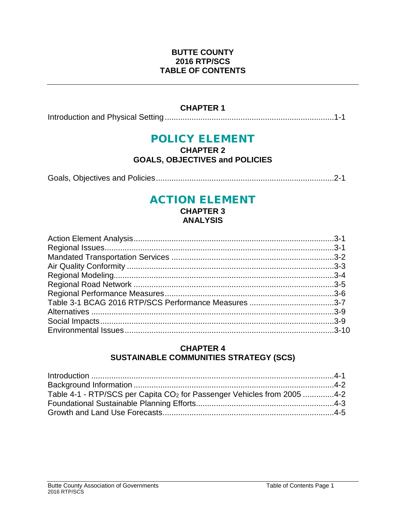#### **BUTTE COUNTY 2016 RTP/SCS TABLE OF CONTENTS**

#### **CHAPTER 1**

Introduction and Physical Setting ............................................................................1-1

## POLICY ELEMENT

#### **CHAPTER 2 GOALS, OBJECTIVES and POLICIES**

Goals, Objectives and Policies................................................................................2-1

## ACTION ELEMENT

**CHAPTER 3 ANALYSIS**

#### **CHAPTER 4 SUSTAINABLE COMMUNITIES STRATEGY (SCS)**

| Table 4-1 - RTP/SCS per Capita CO <sub>2</sub> for Passenger Vehicles from 2005 4-2 |  |
|-------------------------------------------------------------------------------------|--|
|                                                                                     |  |
|                                                                                     |  |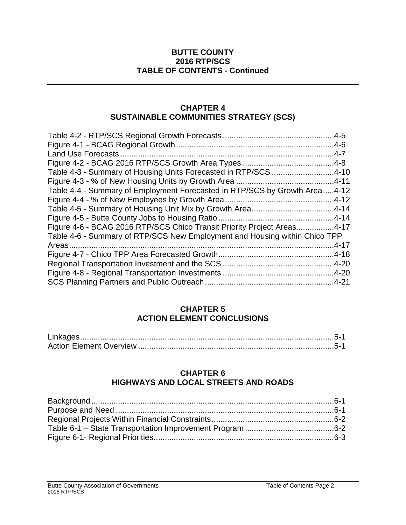#### **BUTTE COUNTY 2016 RTP/SCS TABLE OF CONTENTS - Continued**

#### **CHAPTER 4 SUSTAINABLE COMMUNITIES STRATEGY (SCS)**

| Table 4-3 - Summary of Housing Units Forecasted in RTP/SCS 4-10            |           |
|----------------------------------------------------------------------------|-----------|
|                                                                            |           |
| Table 4-4 - Summary of Employment Forecasted in RTP/SCS by Growth Area4-12 |           |
|                                                                            |           |
|                                                                            |           |
|                                                                            |           |
| Figure 4-6 - BCAG 2016 RTP/SCS Chico Transit Priority Project Areas4-17    |           |
| Table 4-6 - Summary of RTP/SCS New Employment and Housing within Chico TPP |           |
|                                                                            | $.4 - 17$ |
|                                                                            |           |
|                                                                            |           |
|                                                                            |           |
|                                                                            |           |

#### **CHAPTER 5 ACTION ELEMENT CONCLUSIONS**

#### **CHAPTER 6 HIGHWAYS AND LOCAL STREETS AND ROADS**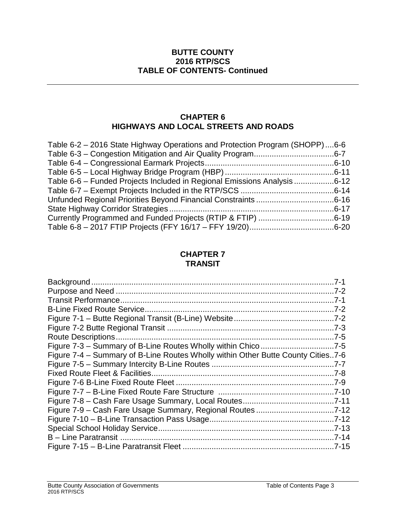#### **BUTTE COUNTY 2016 RTP/SCS TABLE OF CONTENTS- Continued**

#### **CHAPTER 6 HIGHWAYS AND LOCAL STREETS AND ROADS**

| Table 6-2 – 2016 State Highway Operations and Protection Program (SHOPP)6-6 |  |
|-----------------------------------------------------------------------------|--|
|                                                                             |  |
|                                                                             |  |
|                                                                             |  |
| Table 6-6 – Funded Projects Included in Regional Emissions Analysis 6-12    |  |
|                                                                             |  |
|                                                                             |  |
|                                                                             |  |
|                                                                             |  |
|                                                                             |  |

#### **CHAPTER 7 TRANSIT**

| Figure 7-3 - Summary of B-Line Routes Wholly within Chico7-5                     |  |
|----------------------------------------------------------------------------------|--|
| Figure 7-4 – Summary of B-Line Routes Wholly within Other Butte County Cities7-6 |  |
|                                                                                  |  |
|                                                                                  |  |
|                                                                                  |  |
|                                                                                  |  |
|                                                                                  |  |
|                                                                                  |  |
|                                                                                  |  |
|                                                                                  |  |
|                                                                                  |  |
|                                                                                  |  |
|                                                                                  |  |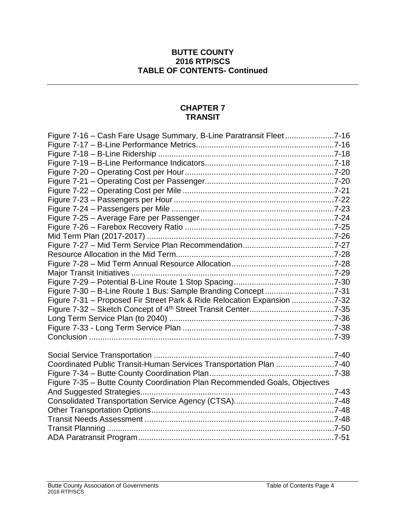#### **BUTTE COUNTY 2016 RTP/SCS TABLE OF CONTENTS- Continued**

#### **CHAPTER 7 TRANSIT**

| Figure 7-16 - Cash Fare Usage Summary, B-Line Paratransit Fleet7-16        |  |
|----------------------------------------------------------------------------|--|
|                                                                            |  |
|                                                                            |  |
|                                                                            |  |
|                                                                            |  |
|                                                                            |  |
|                                                                            |  |
|                                                                            |  |
|                                                                            |  |
|                                                                            |  |
|                                                                            |  |
|                                                                            |  |
|                                                                            |  |
|                                                                            |  |
|                                                                            |  |
|                                                                            |  |
|                                                                            |  |
| Figure 7-30 - B-Line Route 1 Bus: Sample Branding Concept7-31              |  |
| Figure 7-31 - Proposed Fir Street Park & Ride Relocation Expansion 7-32    |  |
|                                                                            |  |
|                                                                            |  |
|                                                                            |  |
|                                                                            |  |
|                                                                            |  |
|                                                                            |  |
| Coordinated Public Transit-Human Services Transportation Plan 7-40         |  |
|                                                                            |  |
| Figure 7-35 - Butte County Coordination Plan Recommended Goals, Objectives |  |
|                                                                            |  |
|                                                                            |  |
|                                                                            |  |
|                                                                            |  |
|                                                                            |  |
|                                                                            |  |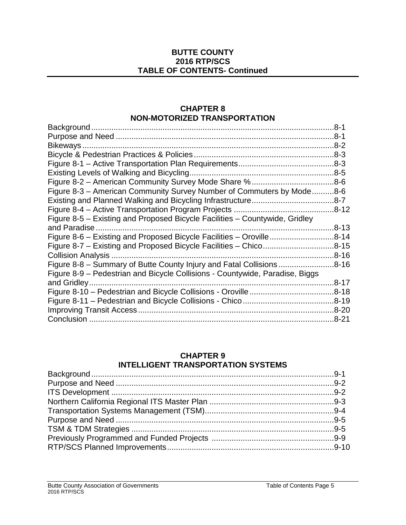#### **BUTTE COUNTY 2016 RTP/SCS TABLE OF CONTENTS- Continued**

#### **CHAPTER 8 NON-MOTORIZED TRANSPORTATION**

|                                                                              | .8-1      |
|------------------------------------------------------------------------------|-----------|
|                                                                              | 8-1       |
| Bikeways                                                                     |           |
|                                                                              |           |
|                                                                              |           |
|                                                                              |           |
|                                                                              |           |
| Figure 8-3 - American Community Survey Number of Commuters by Mode8-6        |           |
|                                                                              |           |
|                                                                              |           |
| Figure 8-5 – Existing and Proposed Bicycle Facilities – Countywide, Gridley  |           |
| and Paradise                                                                 | .8-13     |
| Figure 8-6 – Existing and Proposed Bicycle Facilities – Oroville8-14         |           |
| Figure 8-7 – Existing and Proposed Bicycle Facilities – Chico8-15            |           |
| Collision Analysis                                                           | $.8 - 16$ |
| Figure 8-8 – Summary of Butte County Injury and Fatal Collisions             | .8-16     |
| Figure 8-9 – Pedestrian and Bicycle Collisions - Countywide, Paradise, Biggs |           |
|                                                                              | $.8 - 17$ |
|                                                                              |           |
|                                                                              |           |
|                                                                              | $.8 - 20$ |
|                                                                              | .8-21     |
|                                                                              |           |

### **CHAPTER 9**

#### **INTELLIGENT TRANSPORTATION SYSTEMS**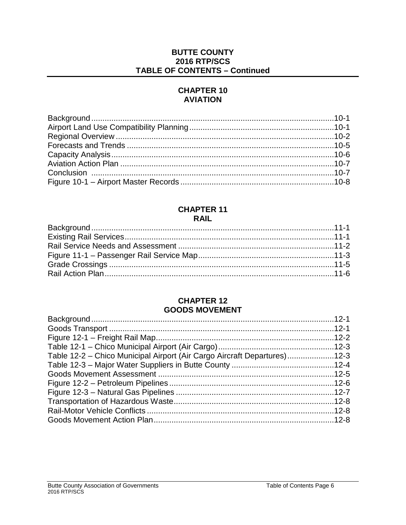#### **BUTTE COUNTY 2016 RTP/SCS TABLE OF CONTENTS - Continued**

#### **CHAPTER 10 AVIATION**

#### **CHAPTER 11 RAIL**

#### **CHAPTER 12 GOODS MOVEMENT**

| Table 12-2 – Chico Municipal Airport (Air Cargo Aircraft Departures)12-3 |  |
|--------------------------------------------------------------------------|--|
|                                                                          |  |
|                                                                          |  |
|                                                                          |  |
|                                                                          |  |
|                                                                          |  |
|                                                                          |  |
|                                                                          |  |
|                                                                          |  |